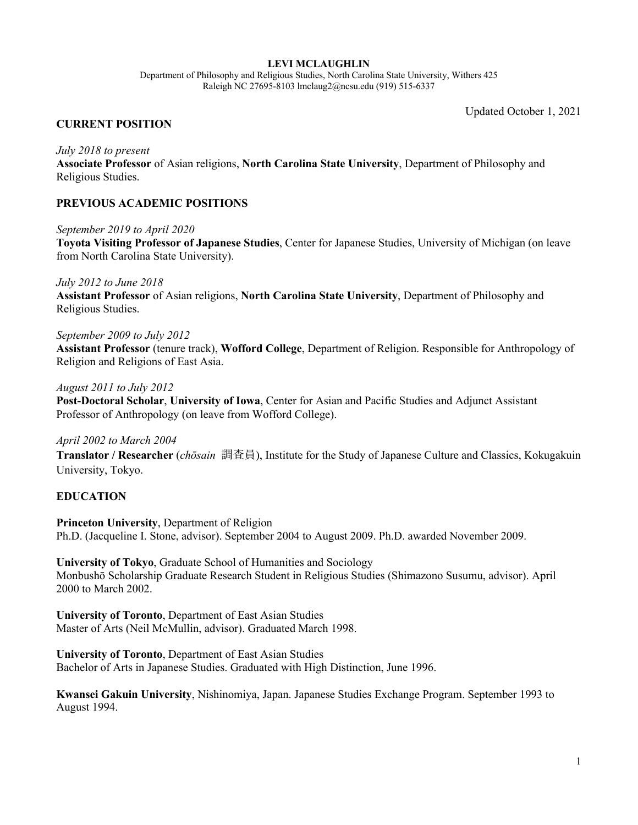Department of Philosophy and Religious Studies, North Carolina State University, Withers 425 Raleigh NC 27695-8103 lmclaug2@ncsu.edu (919) 515-6337

Updated October 1, 2021

### **CURRENT POSITION**

*July 2018 to present*

**Associate Professor** of Asian religions, **North Carolina State University**, Department of Philosophy and Religious Studies.

## **PREVIOUS ACADEMIC POSITIONS**

*September 2019 to April 2020*

**Toyota Visiting Professor of Japanese Studies**, Center for Japanese Studies, University of Michigan (on leave from North Carolina State University).

*July 2012 to June 2018*

**Assistant Professor** of Asian religions, **North Carolina State University**, Department of Philosophy and Religious Studies.

## *September 2009 to July 2012*

**Assistant Professor** (tenure track), **Wofford College**, Department of Religion. Responsible for Anthropology of Religion and Religions of East Asia.

#### *August 2011 to July 2012*

**Post-Doctoral Scholar**, **University of Iowa**, Center for Asian and Pacific Studies and Adjunct Assistant Professor of Anthropology (on leave from Wofford College).

#### *April 2002 to March 2004*

**Translator / Researcher** (*chōsain* 調査員), Institute for the Study of Japanese Culture and Classics, Kokugakuin University, Tokyo.

#### **EDUCATION**

#### **Princeton University**, Department of Religion

Ph.D. (Jacqueline I. Stone, advisor). September 2004 to August 2009. Ph.D. awarded November 2009.

**University of Tokyo**, Graduate School of Humanities and Sociology Monbushō Scholarship Graduate Research Student in Religious Studies (Shimazono Susumu, advisor). April 2000 to March 2002.

**University of Toronto**, Department of East Asian Studies Master of Arts (Neil McMullin, advisor). Graduated March 1998.

**University of Toronto**, Department of East Asian Studies Bachelor of Arts in Japanese Studies. Graduated with High Distinction, June 1996.

**Kwansei Gakuin University**, Nishinomiya, Japan. Japanese Studies Exchange Program. September 1993 to August 1994.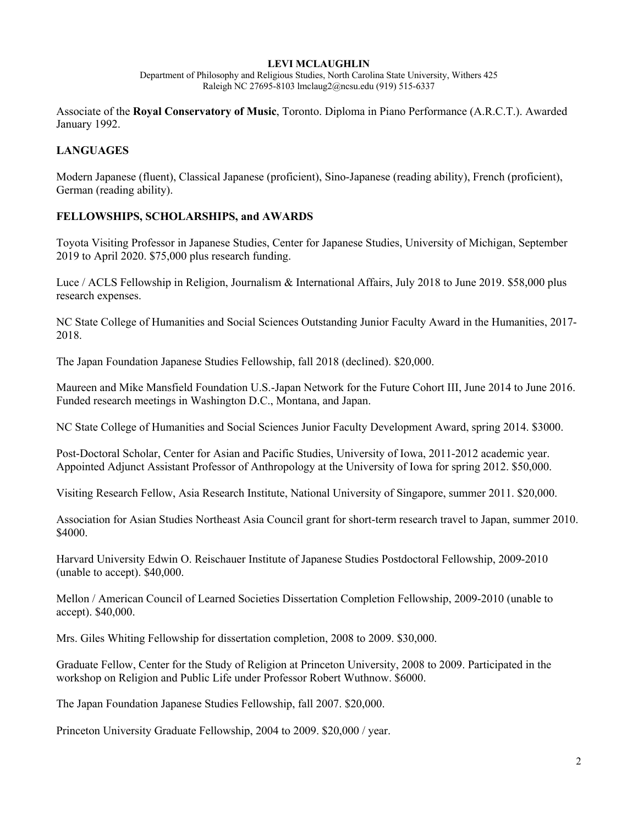Department of Philosophy and Religious Studies, North Carolina State University, Withers 425 Raleigh NC 27695-8103 lmclaug2@ncsu.edu (919) 515-6337

Associate of the **Royal Conservatory of Music**, Toronto. Diploma in Piano Performance (A.R.C.T.). Awarded January 1992.

## **LANGUAGES**

Modern Japanese (fluent), Classical Japanese (proficient), Sino-Japanese (reading ability), French (proficient), German (reading ability).

## **FELLOWSHIPS, SCHOLARSHIPS, and AWARDS**

Toyota Visiting Professor in Japanese Studies, Center for Japanese Studies, University of Michigan, September 2019 to April 2020. \$75,000 plus research funding.

Luce / ACLS Fellowship in Religion, Journalism & International Affairs, July 2018 to June 2019. \$58,000 plus research expenses.

NC State College of Humanities and Social Sciences Outstanding Junior Faculty Award in the Humanities, 2017- 2018.

The Japan Foundation Japanese Studies Fellowship, fall 2018 (declined). \$20,000.

Maureen and Mike Mansfield Foundation U.S.-Japan Network for the Future Cohort III, June 2014 to June 2016. Funded research meetings in Washington D.C., Montana, and Japan.

NC State College of Humanities and Social Sciences Junior Faculty Development Award, spring 2014. \$3000.

Post-Doctoral Scholar, Center for Asian and Pacific Studies, University of Iowa, 2011-2012 academic year. Appointed Adjunct Assistant Professor of Anthropology at the University of Iowa for spring 2012. \$50,000.

Visiting Research Fellow, Asia Research Institute, National University of Singapore, summer 2011. \$20,000.

Association for Asian Studies Northeast Asia Council grant for short-term research travel to Japan, summer 2010. \$4000.

Harvard University Edwin O. Reischauer Institute of Japanese Studies Postdoctoral Fellowship, 2009-2010 (unable to accept). \$40,000.

Mellon / American Council of Learned Societies Dissertation Completion Fellowship, 2009-2010 (unable to accept). \$40,000.

Mrs. Giles Whiting Fellowship for dissertation completion, 2008 to 2009. \$30,000.

Graduate Fellow, Center for the Study of Religion at Princeton University, 2008 to 2009. Participated in the workshop on Religion and Public Life under Professor Robert Wuthnow. \$6000.

The Japan Foundation Japanese Studies Fellowship, fall 2007. \$20,000.

Princeton University Graduate Fellowship, 2004 to 2009. \$20,000 / year.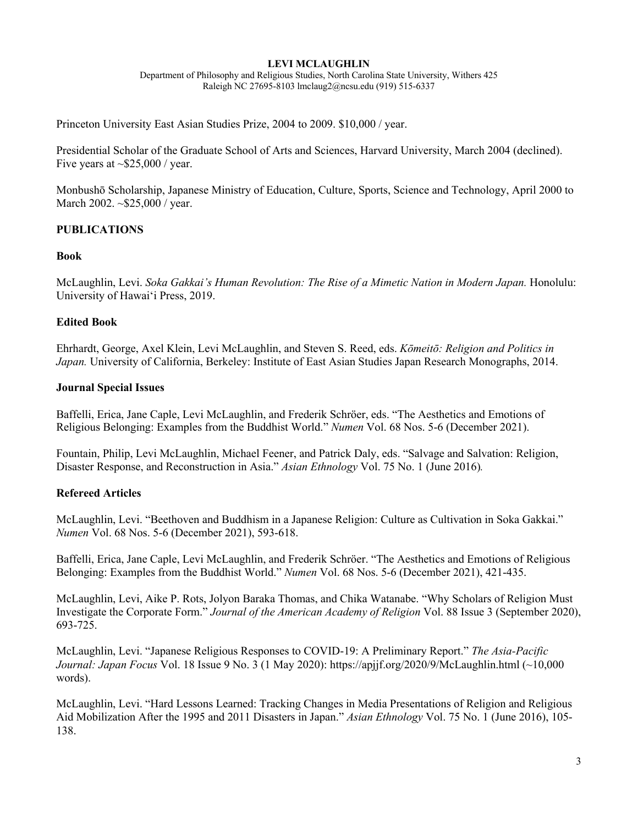Department of Philosophy and Religious Studies, North Carolina State University, Withers 425 Raleigh NC 27695-8103 lmclaug2@ncsu.edu (919) 515-6337

Princeton University East Asian Studies Prize, 2004 to 2009. \$10,000 / year.

Presidential Scholar of the Graduate School of Arts and Sciences, Harvard University, March 2004 (declined). Five years at  $\sim$ \$25,000 / year.

Monbushō Scholarship, Japanese Ministry of Education, Culture, Sports, Science and Technology, April 2000 to March 2002. ~\$25,000 / year.

## **PUBLICATIONS**

## **Book**

McLaughlin, Levi. *Soka Gakkai's Human Revolution: The Rise of a Mimetic Nation in Modern Japan.* Honolulu: University of Hawai'i Press, 2019.

### **Edited Book**

Ehrhardt, George, Axel Klein, Levi McLaughlin, and Steven S. Reed, eds. *Kōmeitō: Religion and Politics in Japan.* University of California, Berkeley: Institute of East Asian Studies Japan Research Monographs, 2014.

### **Journal Special Issues**

Baffelli, Erica, Jane Caple, Levi McLaughlin, and Frederik Schröer, eds. "The Aesthetics and Emotions of Religious Belonging: Examples from the Buddhist World." *Numen* Vol. 68 Nos. 5-6 (December 2021).

Fountain, Philip, Levi McLaughlin, Michael Feener, and Patrick Daly, eds. "Salvage and Salvation: Religion, Disaster Response, and Reconstruction in Asia." *Asian Ethnology* Vol. 75 No. 1 (June 2016)*.*

## **Refereed Articles**

McLaughlin, Levi. "Beethoven and Buddhism in a Japanese Religion: Culture as Cultivation in Soka Gakkai." *Numen* Vol. 68 Nos. 5-6 (December 2021), 593-618.

Baffelli, Erica, Jane Caple, Levi McLaughlin, and Frederik Schröer. "The Aesthetics and Emotions of Religious Belonging: Examples from the Buddhist World." *Numen* Vol. 68 Nos. 5-6 (December 2021), 421-435.

McLaughlin, Levi, Aike P. Rots, Jolyon Baraka Thomas, and Chika Watanabe. "Why Scholars of Religion Must Investigate the Corporate Form." *Journal of the American Academy of Religion* Vol. 88 Issue 3 (September 2020), 693-725.

McLaughlin, Levi. "Japanese Religious Responses to COVID-19: A Preliminary Report." *The Asia-Pacific Journal: Japan Focus* Vol. 18 Issue 9 No. 3 (1 May 2020): https://apjjf.org/2020/9/McLaughlin.html (~10,000 words).

McLaughlin, Levi. "Hard Lessons Learned: Tracking Changes in Media Presentations of Religion and Religious Aid Mobilization After the 1995 and 2011 Disasters in Japan." *Asian Ethnology* Vol. 75 No. 1 (June 2016), 105- 138.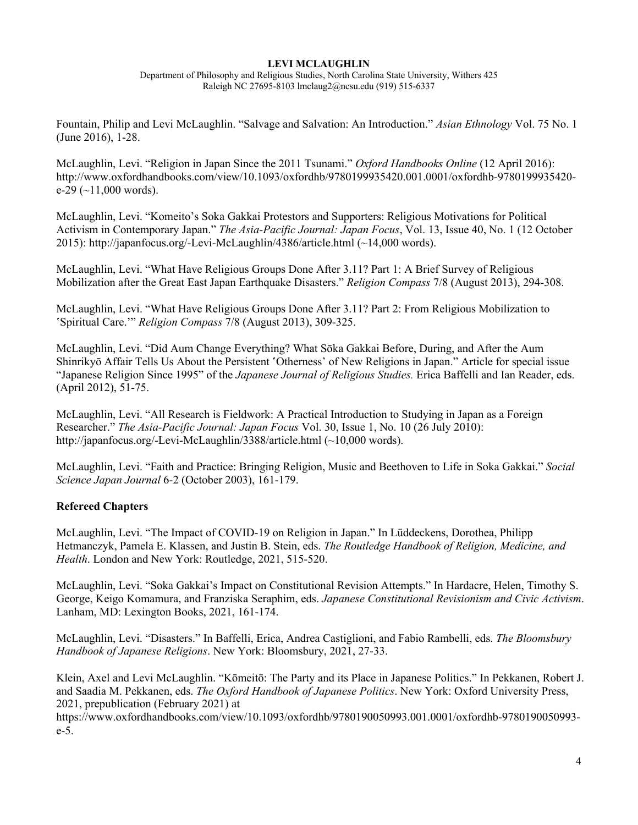Department of Philosophy and Religious Studies, North Carolina State University, Withers 425 Raleigh NC 27695-8103 lmclaug2@ncsu.edu (919) 515-6337

Fountain, Philip and Levi McLaughlin. "Salvage and Salvation: An Introduction." *Asian Ethnology* Vol. 75 No. 1 (June 2016), 1-28.

McLaughlin, Levi. "Religion in Japan Since the 2011 Tsunami." *Oxford Handbooks Online* (12 April 2016): http://www.oxfordhandbooks.com/view/10.1093/oxfordhb/9780199935420.001.0001/oxfordhb-9780199935420  $e-29$  ( $\sim$ 11,000 words).

McLaughlin, Levi. "Komeito's Soka Gakkai Protestors and Supporters: Religious Motivations for Political Activism in Contemporary Japan." *The Asia-Pacific Journal: Japan Focus*, Vol. 13, Issue 40, No. 1 (12 October 2015): http://japanfocus.org/-Levi-McLaughlin/4386/article.html (~14,000 words).

McLaughlin, Levi. "What Have Religious Groups Done After 3.11? Part 1: A Brief Survey of Religious Mobilization after the Great East Japan Earthquake Disasters." *Religion Compass* 7/8 (August 2013), 294-308.

McLaughlin, Levi. "What Have Religious Groups Done After 3.11? Part 2: From Religious Mobilization to 'Spiritual Care.'" *Religion Compass* 7/8 (August 2013), 309-325.

McLaughlin, Levi. "Did Aum Change Everything? What Sōka Gakkai Before, During, and After the Aum Shinrikyō Affair Tells Us About the Persistent 'Otherness' of New Religions in Japan." Article for special issue "Japanese Religion Since 1995" of the *Japanese Journal of Religious Studies.* Erica Baffelli and Ian Reader, eds. (April 2012), 51-75.

McLaughlin, Levi. "All Research is Fieldwork: A Practical Introduction to Studying in Japan as a Foreign Researcher." *The Asia-Pacific Journal: Japan Focus* Vol. 30, Issue 1, No. 10 (26 July 2010): http://japanfocus.org/-Levi-McLaughlin/3388/article.html (~10,000 words).

McLaughlin, Levi. "Faith and Practice: Bringing Religion, Music and Beethoven to Life in Soka Gakkai." *Social Science Japan Journal* 6-2 (October 2003), 161-179.

# **Refereed Chapters**

McLaughlin, Levi. "The Impact of COVID-19 on Religion in Japan." In Lüddeckens, Dorothea, Philipp Hetmanczyk, Pamela E. Klassen, and Justin B. Stein, eds. *The Routledge Handbook of Religion, Medicine, and Health*. London and New York: Routledge, 2021, 515-520.

McLaughlin, Levi. "Soka Gakkai's Impact on Constitutional Revision Attempts." In Hardacre, Helen, Timothy S. George, Keigo Komamura, and Franziska Seraphim, eds. *Japanese Constitutional Revisionism and Civic Activism*. Lanham, MD: Lexington Books, 2021, 161-174.

McLaughlin, Levi. "Disasters." In Baffelli, Erica, Andrea Castiglioni, and Fabio Rambelli, eds. *The Bloomsbury Handbook of Japanese Religions*. New York: Bloomsbury, 2021, 27-33.

Klein, Axel and Levi McLaughlin. "Kōmeitō: The Party and its Place in Japanese Politics." In Pekkanen, Robert J. and Saadia M. Pekkanen, eds. *The Oxford Handbook of Japanese Politics*. New York: Oxford University Press, 2021, prepublication (February 2021) at

https://www.oxfordhandbooks.com/view/10.1093/oxfordhb/9780190050993.001.0001/oxfordhb-9780190050993 e-5.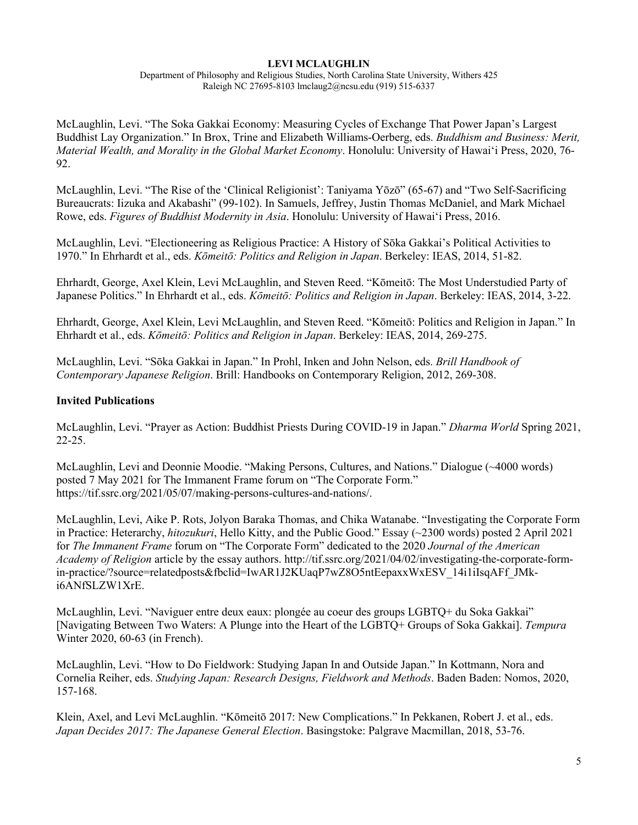Department of Philosophy and Religious Studies, North Carolina State University, Withers 425 Raleigh NC 27695-8103 lmclaug2@ncsu.edu (919) 515-6337

McLaughlin, Levi. "The Soka Gakkai Economy: Measuring Cycles of Exchange That Power Japan's Largest Buddhist Lay Organization." In Brox, Trine and Elizabeth Williams-Oerberg, eds. *Buddhism and Business: Merit, Material Wealth, and Morality in the Global Market Economy*. Honolulu: University of Hawai'i Press, 2020, 76- 92.

McLaughlin, Levi. "The Rise of the 'Clinical Religionist': Taniyama Yōzō" (65-67) and "Two Self-Sacrificing Bureaucrats: Iizuka and Akabashi" (99-102). In Samuels, Jeffrey, Justin Thomas McDaniel, and Mark Michael Rowe, eds. *Figures of Buddhist Modernity in Asia*. Honolulu: University of Hawai'i Press, 2016.

McLaughlin, Levi. "Electioneering as Religious Practice: A History of Sōka Gakkai's Political Activities to 1970." In Ehrhardt et al., eds. *Kōmeitō: Politics and Religion in Japan*. Berkeley: IEAS, 2014, 51-82.

Ehrhardt, George, Axel Klein, Levi McLaughlin, and Steven Reed. "Kōmeitō: The Most Understudied Party of Japanese Politics." In Ehrhardt et al., eds. *Kōmeitō: Politics and Religion in Japan*. Berkeley: IEAS, 2014, 3-22.

Ehrhardt, George, Axel Klein, Levi McLaughlin, and Steven Reed. "Kōmeitō: Politics and Religion in Japan." In Ehrhardt et al., eds. *Kōmeitō: Politics and Religion in Japan*. Berkeley: IEAS, 2014, 269-275.

McLaughlin, Levi. "Sōka Gakkai in Japan." In Prohl, Inken and John Nelson, eds. *Brill Handbook of Contemporary Japanese Religion*. Brill: Handbooks on Contemporary Religion, 2012, 269-308.

# **Invited Publications**

McLaughlin, Levi. "Prayer as Action: Buddhist Priests During COVID-19 in Japan." *Dharma World* Spring 2021, 22-25.

McLaughlin, Levi and Deonnie Moodie. "Making Persons, Cultures, and Nations." Dialogue (~4000 words) posted 7 May 2021 for The Immanent Frame forum on "The Corporate Form." https://tif.ssrc.org/2021/05/07/making-persons-cultures-and-nations/.

McLaughlin, Levi, Aike P. Rots, Jolyon Baraka Thomas, and Chika Watanabe. "Investigating the Corporate Form in Practice: Heterarchy, *hitozukuri*, Hello Kitty, and the Public Good." Essay (~2300 words) posted 2 April 2021 for *The Immanent Frame* forum on "The Corporate Form" dedicated to the 2020 *Journal of the American Academy of Religion* article by the essay authors. http://tif.ssrc.org/2021/04/02/investigating-the-corporate-formin-practice/?source=relatedposts&fbclid=IwAR1J2KUaqP7wZ8O5ntEepaxxWxESV\_14i1iIsqAFf\_JMki6ANfSLZW1XrE.

McLaughlin, Levi. "Naviguer entre deux eaux: plongée au coeur des groups LGBTQ+ du Soka Gakkai" [Navigating Between Two Waters: A Plunge into the Heart of the LGBTQ+ Groups of Soka Gakkai]. *Tempura* Winter 2020, 60-63 (in French).

McLaughlin, Levi. "How to Do Fieldwork: Studying Japan In and Outside Japan." In Kottmann, Nora and Cornelia Reiher, eds. *Studying Japan: Research Designs, Fieldwork and Methods*. Baden Baden: Nomos, 2020, 157-168.

Klein, Axel, and Levi McLaughlin. "Kōmeitō 2017: New Complications." In Pekkanen, Robert J. et al., eds. *Japan Decides 2017: The Japanese General Election*. Basingstoke: Palgrave Macmillan, 2018, 53-76.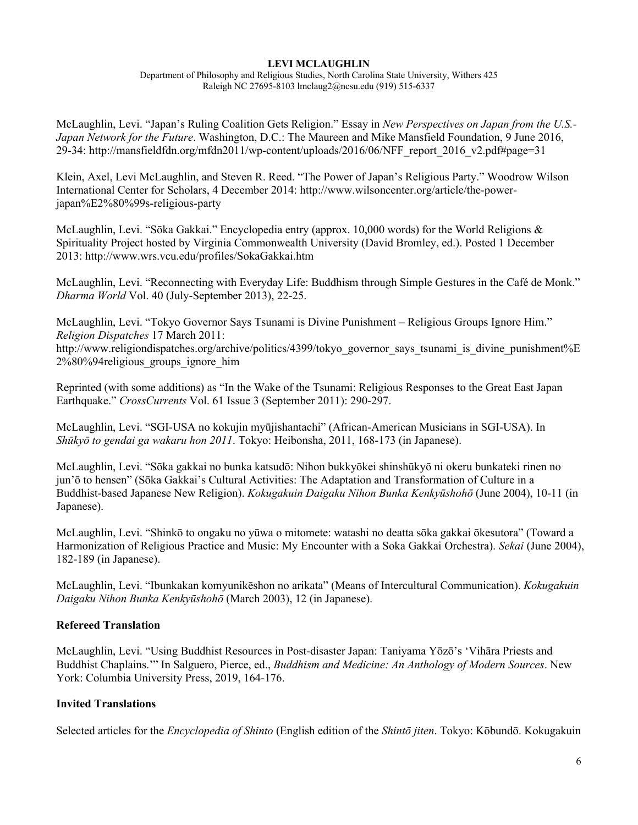Department of Philosophy and Religious Studies, North Carolina State University, Withers 425 Raleigh NC 27695-8103 lmclaug2@ncsu.edu (919) 515-6337

McLaughlin, Levi. "Japan's Ruling Coalition Gets Religion." Essay in *New Perspectives on Japan from the U.S.- Japan Network for the Future*. Washington, D.C.: The Maureen and Mike Mansfield Foundation, 9 June 2016, 29-34: http://mansfieldfdn.org/mfdn2011/wp-content/uploads/2016/06/NFF\_report\_2016\_v2.pdf#page=31

Klein, Axel, Levi McLaughlin, and Steven R. Reed. "The Power of Japan's Religious Party." Woodrow Wilson International Center for Scholars, 4 December 2014: http://www.wilsoncenter.org/article/the-powerjapan%E2%80%99s-religious-party

McLaughlin, Levi. "Sōka Gakkai." Encyclopedia entry (approx. 10,000 words) for the World Religions & Spirituality Project hosted by Virginia Commonwealth University (David Bromley, ed.). Posted 1 December 2013: http://www.wrs.vcu.edu/profiles/SokaGakkai.htm

McLaughlin, Levi. "Reconnecting with Everyday Life: Buddhism through Simple Gestures in the Café de Monk." *Dharma World* Vol. 40 (July-September 2013), 22-25.

McLaughlin, Levi. "Tokyo Governor Says Tsunami is Divine Punishment – Religious Groups Ignore Him." *Religion Dispatches* 17 March 2011: http://www.religiondispatches.org/archive/politics/4399/tokyo\_governor\_says\_tsunami\_is\_divine\_punishment%E 2%80%94religious\_groups\_ignore\_him

Reprinted (with some additions) as "In the Wake of the Tsunami: Religious Responses to the Great East Japan Earthquake." *CrossCurrents* Vol. 61 Issue 3 (September 2011): 290-297.

McLaughlin, Levi. "SGI-USA no kokujin myūjishantachi" (African-American Musicians in SGI-USA). In *Shūkyō to gendai ga wakaru hon 2011*. Tokyo: Heibonsha, 2011, 168-173 (in Japanese).

McLaughlin, Levi. "Sōka gakkai no bunka katsudō: Nihon bukkyōkei shinshūkyō ni okeru bunkateki rinen no jun'ō to hensen" (Sōka Gakkai's Cultural Activities: The Adaptation and Transformation of Culture in a Buddhist-based Japanese New Religion). *Kokugakuin Daigaku Nihon Bunka Kenkyūshohō* (June 2004), 10-11 (in Japanese).

McLaughlin, Levi. "Shinkō to ongaku no yūwa o mitomete: watashi no deatta sōka gakkai ōkesutora" (Toward a Harmonization of Religious Practice and Music: My Encounter with a Soka Gakkai Orchestra). *Sekai* (June 2004), 182-189 (in Japanese).

McLaughlin, Levi. "Ibunkakan komyunikēshon no arikata" (Means of Intercultural Communication). *Kokugakuin Daigaku Nihon Bunka Kenkyūshohō* (March 2003), 12 (in Japanese).

# **Refereed Translation**

McLaughlin, Levi. "Using Buddhist Resources in Post-disaster Japan: Taniyama Yōzō's 'Vihāra Priests and Buddhist Chaplains.'" In Salguero, Pierce, ed., *Buddhism and Medicine: An Anthology of Modern Sources*. New York: Columbia University Press, 2019, 164-176.

# **Invited Translations**

Selected articles for the *Encyclopedia of Shinto* (English edition of the *Shintō jiten*. Tokyo: Kōbundō. Kokugakuin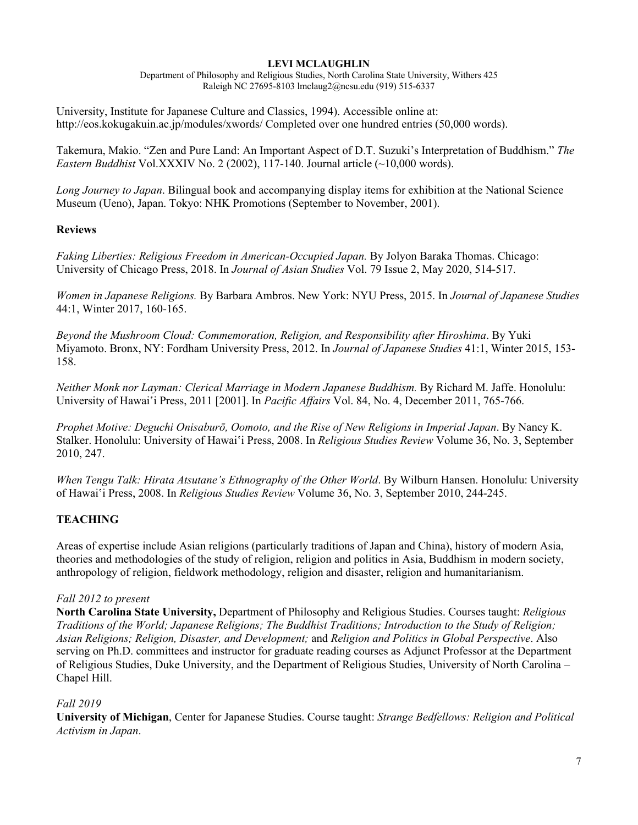Department of Philosophy and Religious Studies, North Carolina State University, Withers 425 Raleigh NC 27695-8103 lmclaug2@ncsu.edu (919) 515-6337

University, Institute for Japanese Culture and Classics, 1994). Accessible online at: http://eos.kokugakuin.ac.jp/modules/xwords/ Completed over one hundred entries (50,000 words).

Takemura, Makio. "Zen and Pure Land: An Important Aspect of D.T. Suzuki's Interpretation of Buddhism." *The Eastern Buddhist* Vol.XXXIV No. 2 (2002), 117-140. Journal article (~10,000 words).

*Long Journey to Japan*. Bilingual book and accompanying display items for exhibition at the National Science Museum (Ueno), Japan. Tokyo: NHK Promotions (September to November, 2001).

# **Reviews**

*Faking Liberties: Religious Freedom in American-Occupied Japan.* By Jolyon Baraka Thomas. Chicago: University of Chicago Press, 2018. In *Journal of Asian Studies* Vol. 79 Issue 2, May 2020, 514-517.

*Women in Japanese Religions.* By Barbara Ambros. New York: NYU Press, 2015. In *Journal of Japanese Studies* 44:1, Winter 2017, 160-165.

*Beyond the Mushroom Cloud: Commemoration, Religion, and Responsibility after Hiroshima*. By Yuki Miyamoto. Bronx, NY: Fordham University Press, 2012. In *Journal of Japanese Studies* 41:1, Winter 2015, 153- 158.

*Neither Monk nor Layman: Clerical Marriage in Modern Japanese Buddhism.* By Richard M. Jaffe. Honolulu: University of Hawai'i Press, 2011 [2001]. In *Pacific Affairs* Vol. 84, No. 4, December 2011, 765-766.

*Prophet Motive: Deguchi Onisaburō, Oomoto, and the Rise of New Religions in Imperial Japan*. By Nancy K. Stalker. Honolulu: University of Hawai'i Press, 2008. In *Religious Studies Review* Volume 36, No. 3, September 2010, 247.

*When Tengu Talk: Hirata Atsutane's Ethnography of the Other World*. By Wilburn Hansen. Honolulu: University of Hawai'i Press, 2008. In *Religious Studies Review* Volume 36, No. 3, September 2010, 244-245.

# **TEACHING**

Areas of expertise include Asian religions (particularly traditions of Japan and China), history of modern Asia, theories and methodologies of the study of religion, religion and politics in Asia, Buddhism in modern society, anthropology of religion, fieldwork methodology, religion and disaster, religion and humanitarianism.

# *Fall 2012 to present*

**North Carolina State University,** Department of Philosophy and Religious Studies. Courses taught: *Religious Traditions of the World; Japanese Religions; The Buddhist Traditions; Introduction to the Study of Religion; Asian Religions; Religion, Disaster, and Development;* and *Religion and Politics in Global Perspective*. Also serving on Ph.D. committees and instructor for graduate reading courses as Adjunct Professor at the Department of Religious Studies, Duke University, and the Department of Religious Studies, University of North Carolina – Chapel Hill.

# *Fall 2019*

**University of Michigan**, Center for Japanese Studies. Course taught: *Strange Bedfellows: Religion and Political Activism in Japan*.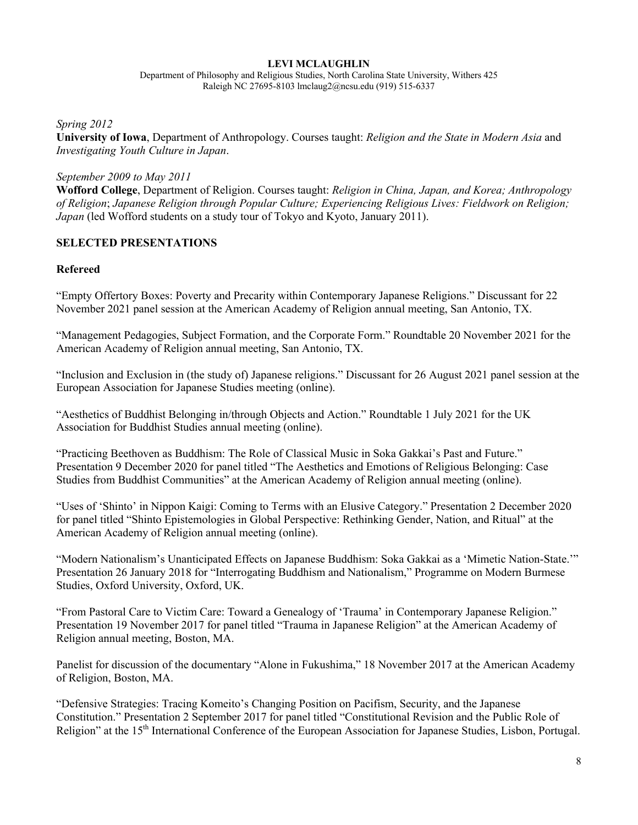Department of Philosophy and Religious Studies, North Carolina State University, Withers 425 Raleigh NC 27695-8103 lmclaug2@ncsu.edu (919) 515-6337

### *Spring 2012*

**University of Iowa**, Department of Anthropology. Courses taught: *Religion and the State in Modern Asia* and *Investigating Youth Culture in Japan*.

### *September 2009 to May 2011*

**Wofford College**, Department of Religion. Courses taught: *Religion in China, Japan, and Korea; Anthropology of Religion*; *Japanese Religion through Popular Culture; Experiencing Religious Lives: Fieldwork on Religion; Japan* (led Wofford students on a study tour of Tokyo and Kyoto, January 2011).

### **SELECTED PRESENTATIONS**

### **Refereed**

"Empty Offertory Boxes: Poverty and Precarity within Contemporary Japanese Religions." Discussant for 22 November 2021 panel session at the American Academy of Religion annual meeting, San Antonio, TX.

"Management Pedagogies, Subject Formation, and the Corporate Form." Roundtable 20 November 2021 for the American Academy of Religion annual meeting, San Antonio, TX.

"Inclusion and Exclusion in (the study of) Japanese religions." Discussant for 26 August 2021 panel session at the European Association for Japanese Studies meeting (online).

"Aesthetics of Buddhist Belonging in/through Objects and Action." Roundtable 1 July 2021 for the UK Association for Buddhist Studies annual meeting (online).

"Practicing Beethoven as Buddhism: The Role of Classical Music in Soka Gakkai's Past and Future." Presentation 9 December 2020 for panel titled "The Aesthetics and Emotions of Religious Belonging: Case Studies from Buddhist Communities" at the American Academy of Religion annual meeting (online).

"Uses of 'Shinto' in Nippon Kaigi: Coming to Terms with an Elusive Category." Presentation 2 December 2020 for panel titled "Shinto Epistemologies in Global Perspective: Rethinking Gender, Nation, and Ritual" at the American Academy of Religion annual meeting (online).

"Modern Nationalism's Unanticipated Effects on Japanese Buddhism: Soka Gakkai as a 'Mimetic Nation-State.'" Presentation 26 January 2018 for "Interrogating Buddhism and Nationalism," Programme on Modern Burmese Studies, Oxford University, Oxford, UK.

"From Pastoral Care to Victim Care: Toward a Genealogy of 'Trauma' in Contemporary Japanese Religion." Presentation 19 November 2017 for panel titled "Trauma in Japanese Religion" at the American Academy of Religion annual meeting, Boston, MA.

Panelist for discussion of the documentary "Alone in Fukushima," 18 November 2017 at the American Academy of Religion, Boston, MA.

"Defensive Strategies: Tracing Komeito's Changing Position on Pacifism, Security, and the Japanese Constitution." Presentation 2 September 2017 for panel titled "Constitutional Revision and the Public Role of Religion" at the 15<sup>th</sup> International Conference of the European Association for Japanese Studies, Lisbon, Portugal.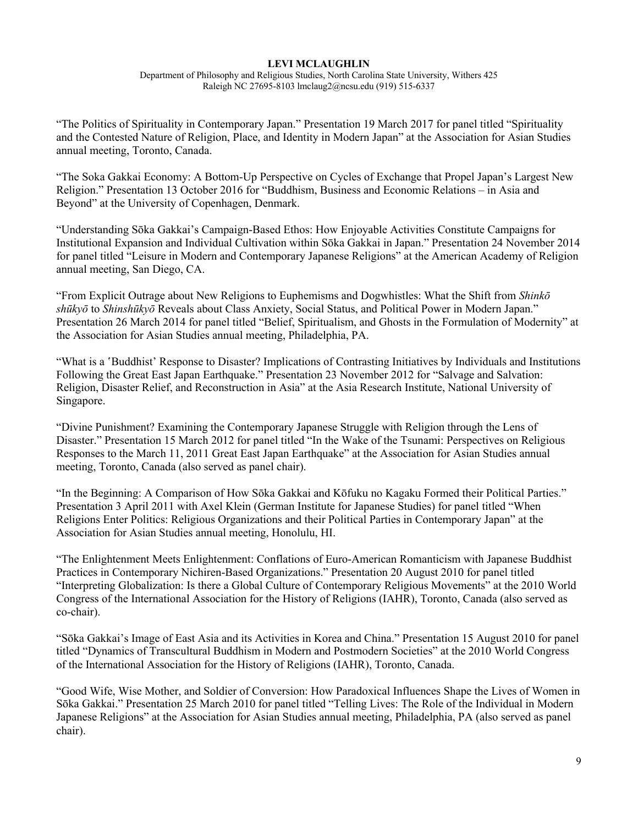Department of Philosophy and Religious Studies, North Carolina State University, Withers 425 Raleigh NC 27695-8103 lmclaug2@ncsu.edu (919) 515-6337

"The Politics of Spirituality in Contemporary Japan." Presentation 19 March 2017 for panel titled "Spirituality and the Contested Nature of Religion, Place, and Identity in Modern Japan" at the Association for Asian Studies annual meeting, Toronto, Canada.

"The Soka Gakkai Economy: A Bottom-Up Perspective on Cycles of Exchange that Propel Japan's Largest New Religion." Presentation 13 October 2016 for "Buddhism, Business and Economic Relations – in Asia and Beyond" at the University of Copenhagen, Denmark.

"Understanding Sōka Gakkai's Campaign-Based Ethos: How Enjoyable Activities Constitute Campaigns for Institutional Expansion and Individual Cultivation within Sōka Gakkai in Japan." Presentation 24 November 2014 for panel titled "Leisure in Modern and Contemporary Japanese Religions" at the American Academy of Religion annual meeting, San Diego, CA.

"From Explicit Outrage about New Religions to Euphemisms and Dogwhistles: What the Shift from *Shinkō shūkyō* to *Shinshūkyō* Reveals about Class Anxiety, Social Status, and Political Power in Modern Japan." Presentation 26 March 2014 for panel titled "Belief, Spiritualism, and Ghosts in the Formulation of Modernity" at the Association for Asian Studies annual meeting, Philadelphia, PA.

"What is a 'Buddhist' Response to Disaster? Implications of Contrasting Initiatives by Individuals and Institutions Following the Great East Japan Earthquake." Presentation 23 November 2012 for "Salvage and Salvation: Religion, Disaster Relief, and Reconstruction in Asia" at the Asia Research Institute, National University of Singapore.

"Divine Punishment? Examining the Contemporary Japanese Struggle with Religion through the Lens of Disaster." Presentation 15 March 2012 for panel titled "In the Wake of the Tsunami: Perspectives on Religious Responses to the March 11, 2011 Great East Japan Earthquake" at the Association for Asian Studies annual meeting, Toronto, Canada (also served as panel chair).

"In the Beginning: A Comparison of How Sōka Gakkai and Kōfuku no Kagaku Formed their Political Parties." Presentation 3 April 2011 with Axel Klein (German Institute for Japanese Studies) for panel titled "When Religions Enter Politics: Religious Organizations and their Political Parties in Contemporary Japan" at the Association for Asian Studies annual meeting, Honolulu, HI.

"The Enlightenment Meets Enlightenment: Conflations of Euro-American Romanticism with Japanese Buddhist Practices in Contemporary Nichiren-Based Organizations." Presentation 20 August 2010 for panel titled "Interpreting Globalization: Is there a Global Culture of Contemporary Religious Movements" at the 2010 World Congress of the International Association for the History of Religions (IAHR), Toronto, Canada (also served as co-chair).

"Sōka Gakkai's Image of East Asia and its Activities in Korea and China." Presentation 15 August 2010 for panel titled "Dynamics of Transcultural Buddhism in Modern and Postmodern Societies" at the 2010 World Congress of the International Association for the History of Religions (IAHR), Toronto, Canada.

"Good Wife, Wise Mother, and Soldier of Conversion: How Paradoxical Influences Shape the Lives of Women in Sōka Gakkai." Presentation 25 March 2010 for panel titled "Telling Lives: The Role of the Individual in Modern Japanese Religions" at the Association for Asian Studies annual meeting, Philadelphia, PA (also served as panel chair).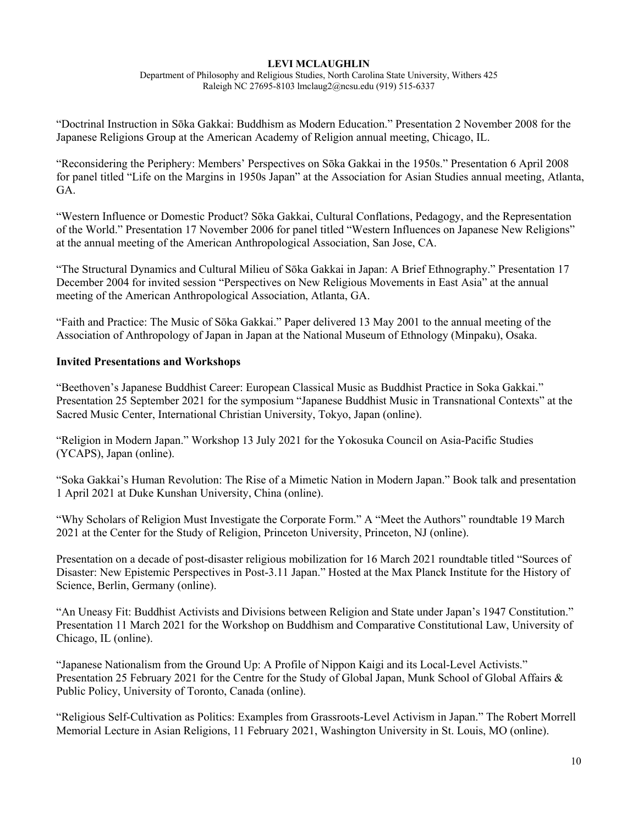Department of Philosophy and Religious Studies, North Carolina State University, Withers 425 Raleigh NC 27695-8103 lmclaug2@ncsu.edu (919) 515-6337

"Doctrinal Instruction in Sōka Gakkai: Buddhism as Modern Education." Presentation 2 November 2008 for the Japanese Religions Group at the American Academy of Religion annual meeting, Chicago, IL.

"Reconsidering the Periphery: Members' Perspectives on Sōka Gakkai in the 1950s." Presentation 6 April 2008 for panel titled "Life on the Margins in 1950s Japan" at the Association for Asian Studies annual meeting, Atlanta, GA.

"Western Influence or Domestic Product? Sōka Gakkai, Cultural Conflations, Pedagogy, and the Representation of the World." Presentation 17 November 2006 for panel titled "Western Influences on Japanese New Religions" at the annual meeting of the American Anthropological Association, San Jose, CA.

"The Structural Dynamics and Cultural Milieu of Sōka Gakkai in Japan: A Brief Ethnography." Presentation 17 December 2004 for invited session "Perspectives on New Religious Movements in East Asia" at the annual meeting of the American Anthropological Association, Atlanta, GA.

"Faith and Practice: The Music of Sōka Gakkai." Paper delivered 13 May 2001 to the annual meeting of the Association of Anthropology of Japan in Japan at the National Museum of Ethnology (Minpaku), Osaka.

# **Invited Presentations and Workshops**

"Beethoven's Japanese Buddhist Career: European Classical Music as Buddhist Practice in Soka Gakkai." Presentation 25 September 2021 for the symposium "Japanese Buddhist Music in Transnational Contexts" at the Sacred Music Center, International Christian University, Tokyo, Japan (online).

"Religion in Modern Japan." Workshop 13 July 2021 for the Yokosuka Council on Asia-Pacific Studies (YCAPS), Japan (online).

"Soka Gakkai's Human Revolution: The Rise of a Mimetic Nation in Modern Japan." Book talk and presentation 1 April 2021 at Duke Kunshan University, China (online).

"Why Scholars of Religion Must Investigate the Corporate Form." A "Meet the Authors" roundtable 19 March 2021 at the Center for the Study of Religion, Princeton University, Princeton, NJ (online).

Presentation on a decade of post-disaster religious mobilization for 16 March 2021 roundtable titled "Sources of Disaster: New Epistemic Perspectives in Post-3.11 Japan." Hosted at the Max Planck Institute for the History of Science, Berlin, Germany (online).

"An Uneasy Fit: Buddhist Activists and Divisions between Religion and State under Japan's 1947 Constitution." Presentation 11 March 2021 for the Workshop on Buddhism and Comparative Constitutional Law, University of Chicago, IL (online).

"Japanese Nationalism from the Ground Up: A Profile of Nippon Kaigi and its Local-Level Activists." Presentation 25 February 2021 for the Centre for the Study of Global Japan, Munk School of Global Affairs & Public Policy, University of Toronto, Canada (online).

"Religious Self-Cultivation as Politics: Examples from Grassroots-Level Activism in Japan." The Robert Morrell Memorial Lecture in Asian Religions, 11 February 2021, Washington University in St. Louis, MO (online).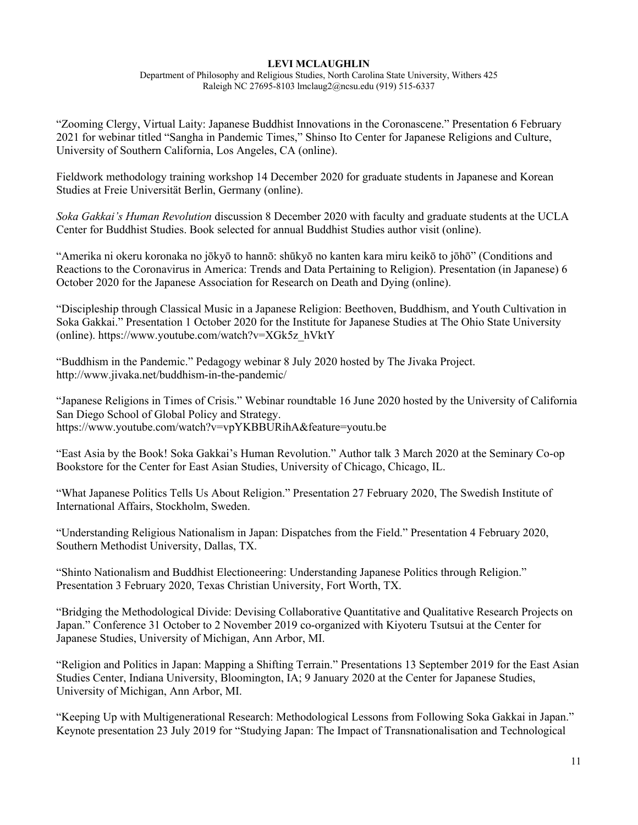Department of Philosophy and Religious Studies, North Carolina State University, Withers 425 Raleigh NC 27695-8103 lmclaug2@ncsu.edu (919) 515-6337

"Zooming Clergy, Virtual Laity: Japanese Buddhist Innovations in the Coronascene." Presentation 6 February 2021 for webinar titled "Sangha in Pandemic Times," Shinso Ito Center for Japanese Religions and Culture, University of Southern California, Los Angeles, CA (online).

Fieldwork methodology training workshop 14 December 2020 for graduate students in Japanese and Korean Studies at Freie Universität Berlin, Germany (online).

*Soka Gakkai's Human Revolution* discussion 8 December 2020 with faculty and graduate students at the UCLA Center for Buddhist Studies. Book selected for annual Buddhist Studies author visit (online).

"Amerika ni okeru koronaka no jōkyō to hannō: shūkyō no kanten kara miru keikō to jōhō" (Conditions and Reactions to the Coronavirus in America: Trends and Data Pertaining to Religion). Presentation (in Japanese) 6 October 2020 for the Japanese Association for Research on Death and Dying (online).

"Discipleship through Classical Music in a Japanese Religion: Beethoven, Buddhism, and Youth Cultivation in Soka Gakkai." Presentation 1 October 2020 for the Institute for Japanese Studies at The Ohio State University (online). https://www.youtube.com/watch?v=XGk5z\_hVktY

"Buddhism in the Pandemic." Pedagogy webinar 8 July 2020 hosted by The Jivaka Project. http://www.jivaka.net/buddhism-in-the-pandemic/

"Japanese Religions in Times of Crisis." Webinar roundtable 16 June 2020 hosted by the University of California San Diego School of Global Policy and Strategy. https://www.youtube.com/watch?v=vpYKBBURihA&feature=youtu.be

"East Asia by the Book! Soka Gakkai's Human Revolution." Author talk 3 March 2020 at the Seminary Co-op Bookstore for the Center for East Asian Studies, University of Chicago, Chicago, IL.

"What Japanese Politics Tells Us About Religion." Presentation 27 February 2020, The Swedish Institute of International Affairs, Stockholm, Sweden.

"Understanding Religious Nationalism in Japan: Dispatches from the Field." Presentation 4 February 2020, Southern Methodist University, Dallas, TX.

"Shinto Nationalism and Buddhist Electioneering: Understanding Japanese Politics through Religion." Presentation 3 February 2020, Texas Christian University, Fort Worth, TX.

"Bridging the Methodological Divide: Devising Collaborative Quantitative and Qualitative Research Projects on Japan." Conference 31 October to 2 November 2019 co-organized with Kiyoteru Tsutsui at the Center for Japanese Studies, University of Michigan, Ann Arbor, MI.

"Religion and Politics in Japan: Mapping a Shifting Terrain." Presentations 13 September 2019 for the East Asian Studies Center, Indiana University, Bloomington, IA; 9 January 2020 at the Center for Japanese Studies, University of Michigan, Ann Arbor, MI.

"Keeping Up with Multigenerational Research: Methodological Lessons from Following Soka Gakkai in Japan." Keynote presentation 23 July 2019 for "Studying Japan: The Impact of Transnationalisation and Technological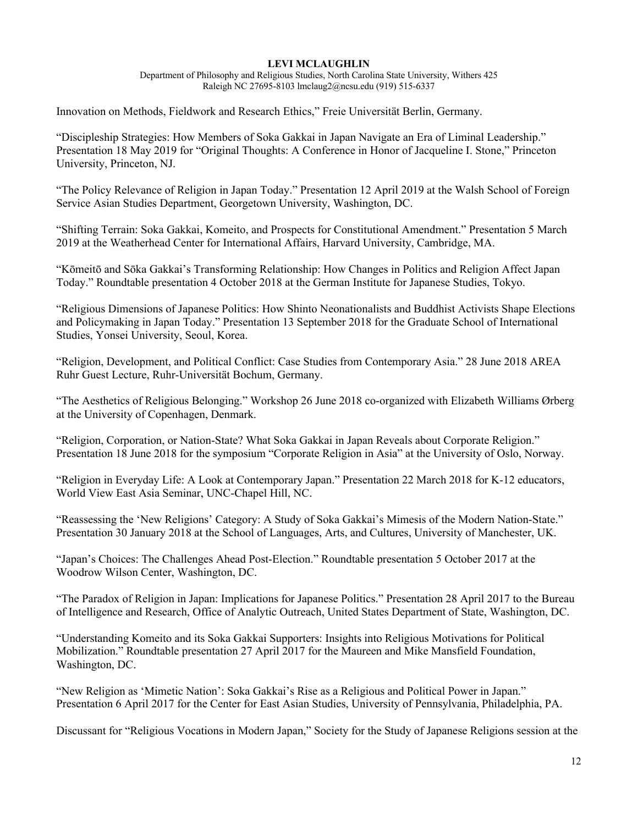Department of Philosophy and Religious Studies, North Carolina State University, Withers 425 Raleigh NC 27695-8103 lmclaug2@ncsu.edu (919) 515-6337

Innovation on Methods, Fieldwork and Research Ethics," Freie Universität Berlin, Germany.

"Discipleship Strategies: How Members of Soka Gakkai in Japan Navigate an Era of Liminal Leadership." Presentation 18 May 2019 for "Original Thoughts: A Conference in Honor of Jacqueline I. Stone," Princeton University, Princeton, NJ.

"The Policy Relevance of Religion in Japan Today." Presentation 12 April 2019 at the Walsh School of Foreign Service Asian Studies Department, Georgetown University, Washington, DC.

"Shifting Terrain: Soka Gakkai, Komeito, and Prospects for Constitutional Amendment." Presentation 5 March 2019 at the Weatherhead Center for International Affairs, Harvard University, Cambridge, MA.

"Kōmeitō and Sōka Gakkai's Transforming Relationship: How Changes in Politics and Religion Affect Japan Today." Roundtable presentation 4 October 2018 at the German Institute for Japanese Studies, Tokyo.

"Religious Dimensions of Japanese Politics: How Shinto Neonationalists and Buddhist Activists Shape Elections and Policymaking in Japan Today." Presentation 13 September 2018 for the Graduate School of International Studies, Yonsei University, Seoul, Korea.

"Religion, Development, and Political Conflict: Case Studies from Contemporary Asia." 28 June 2018 AREA Ruhr Guest Lecture, Ruhr-Universität Bochum, Germany.

"The Aesthetics of Religious Belonging." Workshop 26 June 2018 co-organized with Elizabeth Williams Ørberg at the University of Copenhagen, Denmark.

"Religion, Corporation, or Nation-State? What Soka Gakkai in Japan Reveals about Corporate Religion." Presentation 18 June 2018 for the symposium "Corporate Religion in Asia" at the University of Oslo, Norway.

"Religion in Everyday Life: A Look at Contemporary Japan." Presentation 22 March 2018 for K-12 educators, World View East Asia Seminar, UNC-Chapel Hill, NC.

"Reassessing the 'New Religions' Category: A Study of Soka Gakkai's Mimesis of the Modern Nation-State." Presentation 30 January 2018 at the School of Languages, Arts, and Cultures, University of Manchester, UK.

"Japan's Choices: The Challenges Ahead Post-Election." Roundtable presentation 5 October 2017 at the Woodrow Wilson Center, Washington, DC.

"The Paradox of Religion in Japan: Implications for Japanese Politics." Presentation 28 April 2017 to the Bureau of Intelligence and Research, Office of Analytic Outreach, United States Department of State, Washington, DC.

"Understanding Komeito and its Soka Gakkai Supporters: Insights into Religious Motivations for Political Mobilization." Roundtable presentation 27 April 2017 for the Maureen and Mike Mansfield Foundation, Washington, DC.

"New Religion as 'Mimetic Nation': Soka Gakkai's Rise as a Religious and Political Power in Japan." Presentation 6 April 2017 for the Center for East Asian Studies, University of Pennsylvania, Philadelphia, PA.

Discussant for "Religious Vocations in Modern Japan," Society for the Study of Japanese Religions session at the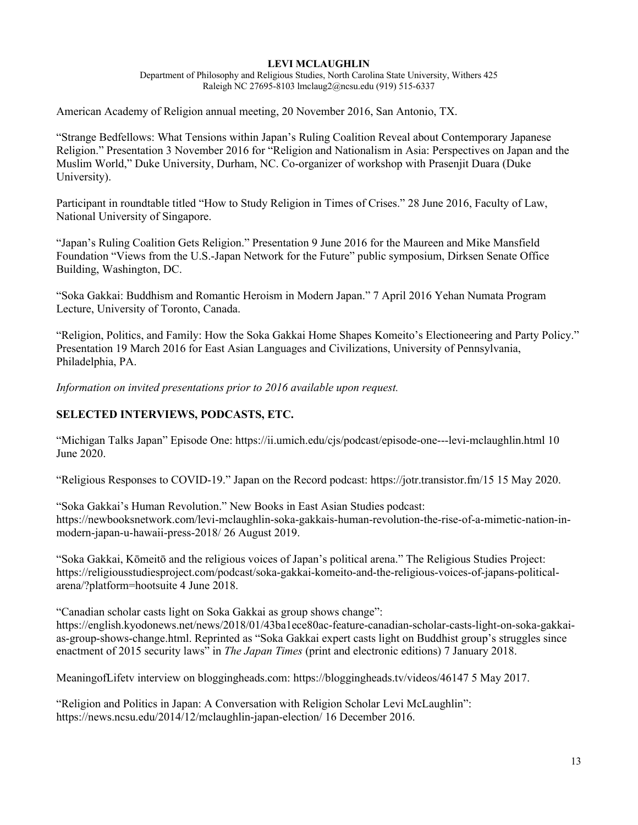Department of Philosophy and Religious Studies, North Carolina State University, Withers 425 Raleigh NC 27695-8103 lmclaug2@ncsu.edu (919) 515-6337

American Academy of Religion annual meeting, 20 November 2016, San Antonio, TX.

"Strange Bedfellows: What Tensions within Japan's Ruling Coalition Reveal about Contemporary Japanese Religion." Presentation 3 November 2016 for "Religion and Nationalism in Asia: Perspectives on Japan and the Muslim World," Duke University, Durham, NC. Co-organizer of workshop with Prasenjit Duara (Duke University).

Participant in roundtable titled "How to Study Religion in Times of Crises." 28 June 2016, Faculty of Law, National University of Singapore.

"Japan's Ruling Coalition Gets Religion." Presentation 9 June 2016 for the Maureen and Mike Mansfield Foundation "Views from the U.S.-Japan Network for the Future" public symposium, Dirksen Senate Office Building, Washington, DC.

"Soka Gakkai: Buddhism and Romantic Heroism in Modern Japan." 7 April 2016 Yehan Numata Program Lecture, University of Toronto, Canada.

"Religion, Politics, and Family: How the Soka Gakkai Home Shapes Komeito's Electioneering and Party Policy." Presentation 19 March 2016 for East Asian Languages and Civilizations, University of Pennsylvania, Philadelphia, PA.

*Information on invited presentations prior to 2016 available upon request.*

# **SELECTED INTERVIEWS, PODCASTS, ETC.**

"Michigan Talks Japan" Episode One: https://ii.umich.edu/cjs/podcast/episode-one---levi-mclaughlin.html 10 June 2020.

"Religious Responses to COVID-19." Japan on the Record podcast: https://jotr.transistor.fm/15 15 May 2020.

"Soka Gakkai's Human Revolution." New Books in East Asian Studies podcast: https://newbooksnetwork.com/levi-mclaughlin-soka-gakkais-human-revolution-the-rise-of-a-mimetic-nation-inmodern-japan-u-hawaii-press-2018/ 26 August 2019.

"Soka Gakkai, Kōmeitō and the religious voices of Japan's political arena." The Religious Studies Project: https://religiousstudiesproject.com/podcast/soka-gakkai-komeito-and-the-religious-voices-of-japans-politicalarena/?platform=hootsuite 4 June 2018.

"Canadian scholar casts light on Soka Gakkai as group shows change": https://english.kyodonews.net/news/2018/01/43ba1ece80ac-feature-canadian-scholar-casts-light-on-soka-gakkaias-group-shows-change.html. Reprinted as "Soka Gakkai expert casts light on Buddhist group's struggles since enactment of 2015 security laws" in *The Japan Times* (print and electronic editions) 7 January 2018.

MeaningofLifetv interview on bloggingheads.com: https://bloggingheads.tv/videos/46147 5 May 2017.

"Religion and Politics in Japan: A Conversation with Religion Scholar Levi McLaughlin": https://news.ncsu.edu/2014/12/mclaughlin-japan-election/ 16 December 2016.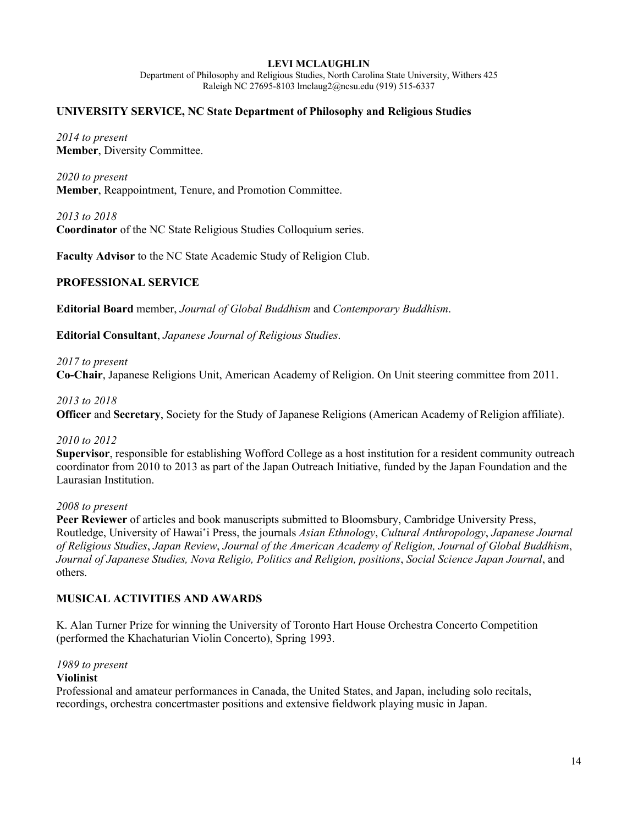Department of Philosophy and Religious Studies, North Carolina State University, Withers 425 Raleigh NC 27695-8103 lmclaug2@ncsu.edu (919) 515-6337

## **UNIVERSITY SERVICE, NC State Department of Philosophy and Religious Studies**

*2014 to present* **Member**, Diversity Committee.

*2020 to present* **Member**, Reappointment, Tenure, and Promotion Committee.

*2013 to 2018* **Coordinator** of the NC State Religious Studies Colloquium series.

**Faculty Advisor** to the NC State Academic Study of Religion Club.

### **PROFESSIONAL SERVICE**

**Editorial Board** member, *Journal of Global Buddhism* and *Contemporary Buddhism*.

**Editorial Consultant**, *Japanese Journal of Religious Studies*.

#### *2017 to present*

**Co-Chair**, Japanese Religions Unit, American Academy of Religion. On Unit steering committee from 2011.

#### *2013 to 2018*

**Officer** and **Secretary**, Society for the Study of Japanese Religions (American Academy of Religion affiliate).

#### *2010 to 2012*

**Supervisor**, responsible for establishing Wofford College as a host institution for a resident community outreach coordinator from 2010 to 2013 as part of the Japan Outreach Initiative, funded by the Japan Foundation and the Laurasian Institution.

#### *2008 to present*

**Peer Reviewer** of articles and book manuscripts submitted to Bloomsbury, Cambridge University Press, Routledge, University of Hawai'i Press, the journals *Asian Ethnology*, *Cultural Anthropology*, *Japanese Journal of Religious Studies*, *Japan Review*, *Journal of the American Academy of Religion, Journal of Global Buddhism*, *Journal of Japanese Studies, Nova Religio, Politics and Religion, positions*, *Social Science Japan Journal*, and others.

## **MUSICAL ACTIVITIES AND AWARDS**

K. Alan Turner Prize for winning the University of Toronto Hart House Orchestra Concerto Competition (performed the Khachaturian Violin Concerto), Spring 1993.

#### *1989 to present*

#### **Violinist**

Professional and amateur performances in Canada, the United States, and Japan, including solo recitals, recordings, orchestra concertmaster positions and extensive fieldwork playing music in Japan.